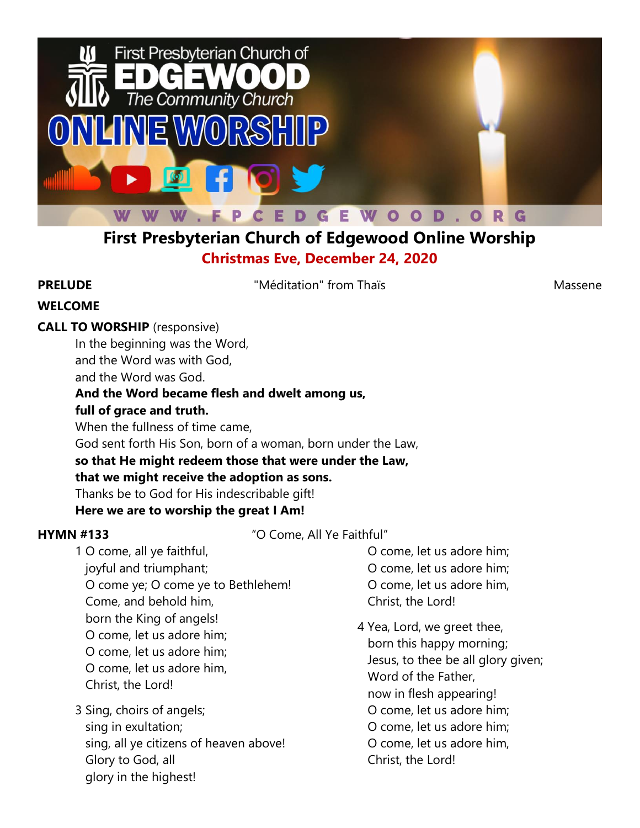

# **First Presbyterian Church of Edgewood Online Worship Christmas Eve, December 24, 2020**

**PRELUDE** Meditation" from Thaïs Massene

## **WELCOME**

## **CALL TO WORSHIP** (responsive)

In the beginning was the Word, and the Word was with God, and the Word was God.

### **And the Word became flesh and dwelt among us,**

### **full of grace and truth.**

When the fullness of time came,

God sent forth His Son, born of a woman, born under the Law,

## **so that He might redeem those that were under the Law, that we might receive the adoption as sons.**

Thanks be to God for His indescribable gift!

## **Here we are to worship the great I Am!**

**HYMN #133** "O Come, All Ye Faithful"

1 O come, all ye faithful, joyful and triumphant; O come ye; O come ye to Bethlehem! Come, and behold him, born the King of angels! O come, let us adore him; O come, let us adore him; O come, let us adore him, Christ, the Lord!

3 Sing, choirs of angels; sing in exultation; sing, all ye citizens of heaven above! Glory to God, all glory in the highest!

 O come, let us adore him; O come, let us adore him; O come, let us adore him, Christ, the Lord!

4 Yea, Lord, we greet thee, born this happy morning; Jesus, to thee be all glory given; Word of the Father, now in flesh appearing! O come, let us adore him; O come, let us adore him; O come, let us adore him, Christ, the Lord!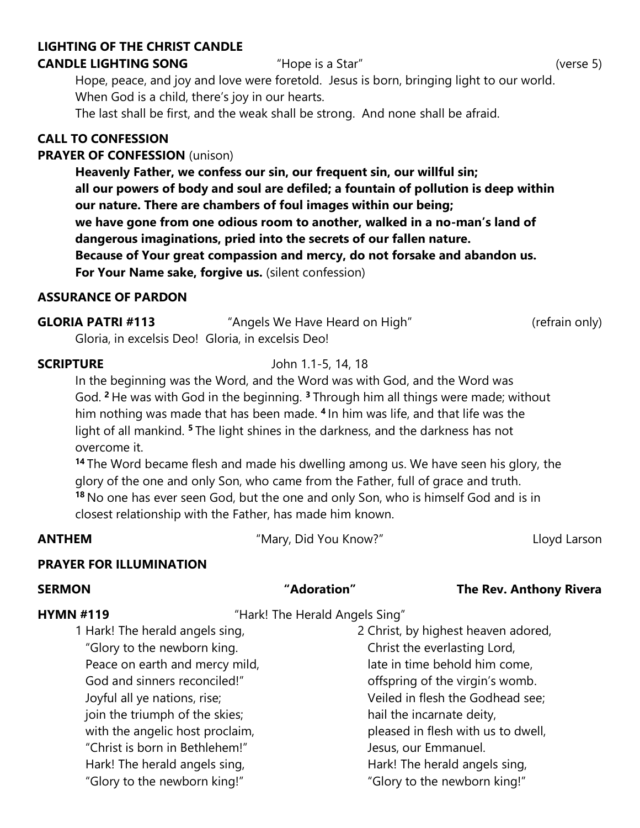### **LIGHTING OF THE CHRIST CANDLE**

### **CANDLE LIGHTING SONG** "Hope is a Star" (verse 5)

Hope, peace, and joy and love were foretold. Jesus is born, bringing light to our world. When God is a child, there's joy in our hearts.

The last shall be first, and the weak shall be strong. And none shall be afraid.

### **CALL TO CONFESSION**

### **PRAYER OF CONFESSION** (unison)

**Heavenly Father, we confess our sin, our frequent sin, our willful sin; all our powers of body and soul are defiled; a fountain of pollution is deep within our nature. There are chambers of foul images within our being; we have gone from one odious room to another, walked in a no-man's land of dangerous imaginations, pried into the secrets of our fallen nature. Because of Your great compassion and mercy, do not forsake and abandon us. For Your Name sake, forgive us.** (silent confession)

### **ASSURANCE OF PARDON**

| <b>GLORIA PATRI #113</b> | "Angels We Have Heard on High"                    | (refrain only) |
|--------------------------|---------------------------------------------------|----------------|
|                          | Gloria, in excelsis Deo! Gloria, in excelsis Deo! |                |

### **SCRIPTURE** John 1.1-5, 14, 18

In the beginning was the Word, and the Word was with God, and the Word was God. **<sup>2</sup>** He was with God in the beginning. **<sup>3</sup>** Through him all things were made; without him nothing was made that has been made. **<sup>4</sup>** In him was life, and that life was the light of all mankind. **<sup>5</sup>** The light shines in the darkness, and the darkness has not overcome it.

**<sup>14</sup>** The Word became flesh and made his dwelling among us. We have seen his glory, the glory of the one and only Son, who came from the Father, full of grace and truth. **<sup>18</sup>** No one has ever seen God, but the one and only Son, who is himself God and is in closest relationship with the Father, has made him known.

**ANTHEM** The *"Mary, Did You Know?"* The *Lloyd Larson* 

### **PRAYER FOR ILLUMINATION**

### **SERMON "Adoration" The Rev. Anthony Rivera**

### **HYMN #119** "Hark! The Herald Angels Sing"

1 Hark! The herald angels sing, "Glory to the newborn king. Peace on earth and mercy mild, God and sinners reconciled!" Joyful all ye nations, rise; join the triumph of the skies; with the angelic host proclaim, "Christ is born in Bethlehem!" Hark! The herald angels sing, "Glory to the newborn king!"

2 Christ, by highest heaven adored, Christ the everlasting Lord, late in time behold him come, offspring of the virgin's womb. Veiled in flesh the Godhead see; hail the incarnate deity, pleased in flesh with us to dwell, Jesus, our Emmanuel. Hark! The herald angels sing, "Glory to the newborn king!"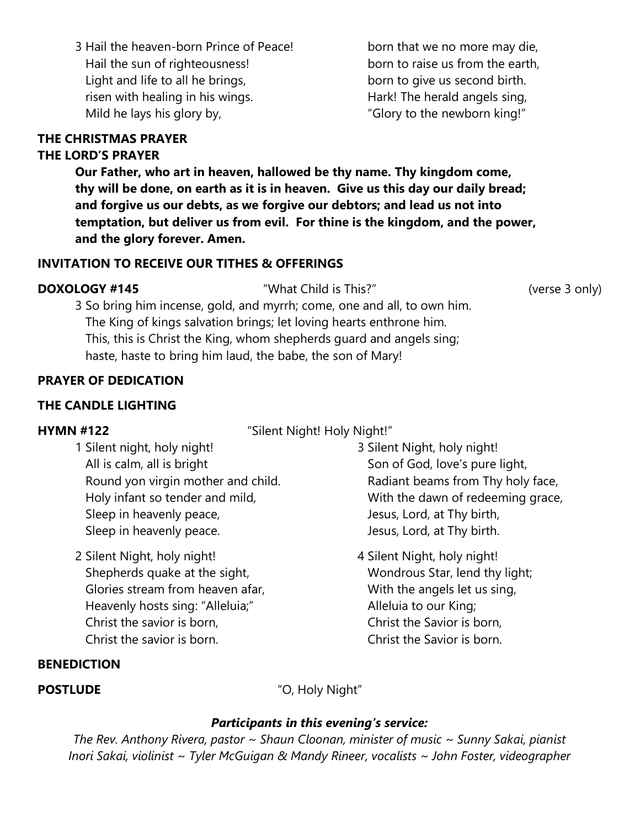3 Hail the heaven-born Prince of Peace! Hail the sun of righteousness! Light and life to all he brings, risen with healing in his wings. Mild he lays his glory by,

 born that we no more may die, born to raise us from the earth, born to give us second birth. Hark! The herald angels sing, "Glory to the newborn king!"

### **THE CHRISTMAS PRAYER**

### **THE LORD'S PRAYER**

**Our Father, who art in heaven, hallowed be thy name. Thy kingdom come, thy will be done, on earth as it is in heaven. Give us this day our daily bread; and forgive us our debts, as we forgive our debtors; and lead us not into temptation, but deliver us from evil. For thine is the kingdom, and the power, and the glory forever. Amen.**

### **INVITATION TO RECEIVE OUR TITHES & OFFERINGS**

**DOXOLOGY #145** "What Child is This?" (verse 3 only)

3 So bring him incense, gold, and myrrh; come, one and all, to own him. The King of kings salvation brings; let loving hearts enthrone him. This, this is Christ the King, whom shepherds guard and angels sing; haste, haste to bring him laud, the babe, the son of Mary!

### **PRAYER OF DEDICATION**

### **THE CANDLE LIGHTING**

**HYMN #122** "Silent Night! Holy Night!"

- 1 Silent night, holy night! All is calm, all is bright Round yon virgin mother and child. Holy infant so tender and mild, Sleep in heavenly peace, Sleep in heavenly peace.
- 2 Silent Night, holy night! Shepherds quake at the sight, Glories stream from heaven afar, Heavenly hosts sing: "Alleluia;" Christ the savior is born, Christ the savior is born.

### **BENEDICTION**

**POSTLUDE** "O, Holy Night"

### *Participants in this evening's service:*

*The Rev. Anthony Rivera, pastor ~ Shaun Cloonan, minister of music ~ Sunny Sakai, pianist Inori Sakai, violinist ~ Tyler McGuigan & Mandy Rineer, vocalists ~ John Foster, videographer*

- 3 Silent Night, holy night! Son of God, love's pure light, Radiant beams from Thy holy face, With the dawn of redeeming grace, Jesus, Lord, at Thy birth, Jesus, Lord, at Thy birth.
- 4 Silent Night, holy night! Wondrous Star, lend thy light; With the angels let us sing, Alleluia to our King; Christ the Savior is born, Christ the Savior is born.